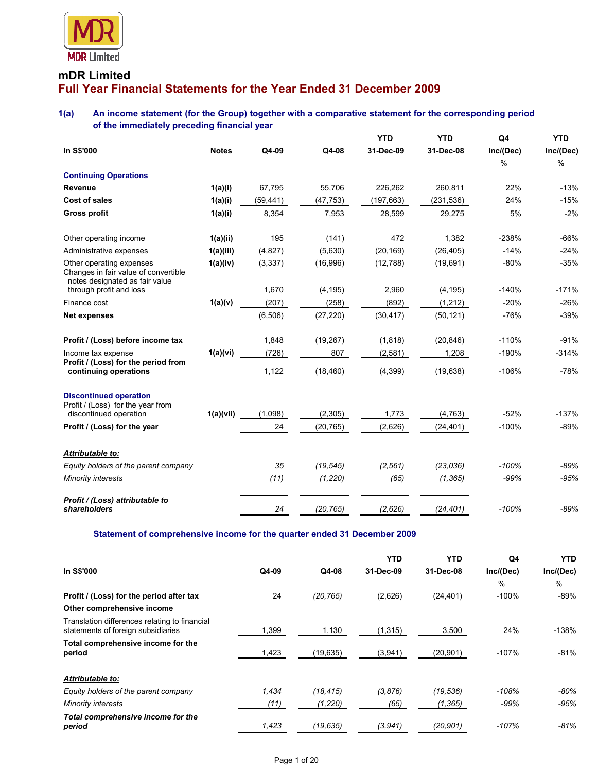

## **mDR Limited Full Year Financial Statements for the Year Ended 31 December 2009**

## **1(a) An income statement (for the Group) together with a comparative statement for the corresponding period of the immediately preceding financial year**

|                                                                                                    |              |           |           | <b>YTD</b> | <b>YTD</b> | Q4        | YTD       |
|----------------------------------------------------------------------------------------------------|--------------|-----------|-----------|------------|------------|-----------|-----------|
| In S\$'000                                                                                         | <b>Notes</b> | Q4-09     | Q4-08     | 31-Dec-09  | 31-Dec-08  | Inc/(Dec) | Inc/(Dec) |
|                                                                                                    |              |           |           |            |            | $\%$      | $\%$      |
| <b>Continuing Operations</b>                                                                       |              |           |           |            |            |           |           |
| Revenue                                                                                            | 1(a)(i)      | 67,795    | 55,706    | 226,262    | 260,811    | 22%       | $-13%$    |
| Cost of sales                                                                                      | 1(a)(i)      | (59, 441) | (47, 753) | (197, 663) | (231, 536) | 24%       | $-15%$    |
| <b>Gross profit</b>                                                                                | 1(a)(i)      | 8,354     | 7,953     | 28,599     | 29,275     | 5%        | $-2%$     |
| Other operating income                                                                             | 1(a)(ii)     | 195       | (141)     | 472        | 1,382      | $-238%$   | $-66%$    |
| Administrative expenses                                                                            | 1(a)(iii)    | (4, 827)  | (5,630)   | (20, 169)  | (26, 405)  | $-14%$    | $-24%$    |
| Other operating expenses<br>Changes in fair value of convertible<br>notes designated as fair value | 1(a)(iv)     | (3, 337)  | (16,996)  | (12,788)   | (19, 691)  | $-80%$    | $-35%$    |
| through profit and loss                                                                            |              | 1,670     | (4, 195)  | 2,960      | (4, 195)   | $-140%$   | $-171%$   |
| Finance cost                                                                                       | 1(a)(v)      | (207)     | (258)     | (892)      | (1, 212)   | $-20%$    | $-26%$    |
| <b>Net expenses</b>                                                                                |              | (6, 506)  | (27, 220) | (30, 417)  | (50, 121)  | $-76%$    | $-39%$    |
| Profit / (Loss) before income tax                                                                  |              | 1,848     | (19, 267) | (1, 818)   | (20, 846)  | $-110%$   | $-91%$    |
| Income tax expense                                                                                 | 1(a)(vi)     | (726)     | 807       | (2, 581)   | 1,208      | $-190%$   | $-314%$   |
| Profit / (Loss) for the period from<br>continuing operations                                       |              | 1,122     | (18, 460) | (4, 399)   | (19, 638)  | $-106%$   | $-78%$    |
| <b>Discontinued operation</b><br>Profit / (Loss) for the year from                                 |              |           |           |            |            |           |           |
| discontinued operation                                                                             | 1(a)(vii)    | (1,098)   | (2,305)   | 1,773      | (4, 763)   | $-52%$    | $-137%$   |
| Profit / (Loss) for the year                                                                       |              | 24        | (20, 765) | (2,626)    | (24, 401)  | $-100%$   | $-89%$    |
| Attributable to:                                                                                   |              |           |           |            |            |           |           |
| Equity holders of the parent company                                                               |              | 35        | (19, 545) | (2, 561)   | (23, 036)  | $-100%$   | $-89%$    |
| Minority interests                                                                                 |              | (11)      | (1, 220)  | (65)       | (1, 365)   | $-99%$    | $-95%$    |
| Profit / (Loss) attributable to<br>shareholders                                                    |              | 24        | (20, 765) | (2,626)    | (24, 401)  | $-100%$   | $-89%$    |

**Statement of comprehensive income for the quarter ended 31 December 2009** 

|                                                                                     |       |           | <b>YTD</b> | <b>YTD</b> | Q4        | YTD.      |
|-------------------------------------------------------------------------------------|-------|-----------|------------|------------|-----------|-----------|
| In S\$'000                                                                          | Q4-09 | Q4-08     | 31-Dec-09  | 31-Dec-08  | Inc/(Dec) | Inc/(Dec) |
|                                                                                     |       |           |            |            | %         | $\%$      |
| Profit / (Loss) for the period after tax                                            | 24    | (20, 765) | (2,626)    | (24, 401)  | $-100%$   | $-89%$    |
| Other comprehensive income                                                          |       |           |            |            |           |           |
| Translation differences relating to financial<br>statements of foreign subsidiaries | 1,399 | 1,130     | (1, 315)   | 3,500      | 24%       | $-138%$   |
| Total comprehensive income for the<br>period                                        | 1,423 | (19, 635) | (3,941)    | (20, 901)  | $-107%$   | $-81%$    |
| Attributable to:                                                                    |       |           |            |            |           |           |
| Equity holders of the parent company                                                | 1.434 | (18, 415) | (3, 876)   | (19, 536)  | $-108%$   | $-80%$    |
| <b>Minority interests</b>                                                           | (11)  | (1, 220)  | (65)       | (1, 365)   | $-99%$    | $-95%$    |
| Total comprehensive income for the<br>period                                        | 1,423 | (19, 635) | (3,941)    | (20, 901)  | -107%     | $-81%$    |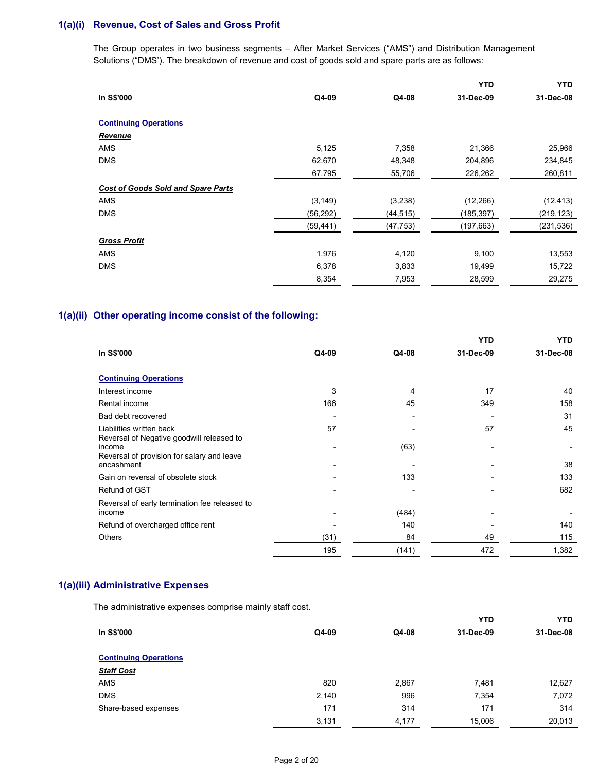## **1(a)(i) Revenue, Cost of Sales and Gross Profit**

The Group operates in two business segments – After Market Services ("AMS") and Distribution Management Solutions ("DMS'). The breakdown of revenue and cost of goods sold and spare parts are as follows:

|                                           |           |           | YTD        | <b>YTD</b> |
|-------------------------------------------|-----------|-----------|------------|------------|
| In S\$'000                                | Q4-09     | Q4-08     | 31-Dec-09  | 31-Dec-08  |
| <b>Continuing Operations</b>              |           |           |            |            |
| <b>Revenue</b>                            |           |           |            |            |
| <b>AMS</b>                                | 5,125     | 7,358     | 21,366     | 25,966     |
| <b>DMS</b>                                | 62,670    | 48,348    | 204,896    | 234,845    |
|                                           | 67,795    | 55,706    | 226,262    | 260,811    |
| <b>Cost of Goods Sold and Spare Parts</b> |           |           |            |            |
| <b>AMS</b>                                | (3, 149)  | (3,238)   | (12, 266)  | (12, 413)  |
| <b>DMS</b>                                | (56, 292) | (44, 515) | (185, 397) | (219, 123) |
|                                           | (59, 441) | (47, 753) | (197,663)  | (231, 536) |
| <b>Gross Profit</b>                       |           |           |            |            |
| <b>AMS</b>                                | 1,976     | 4,120     | 9,100      | 13,553     |
| <b>DMS</b>                                | 6,378     | 3,833     | 19,499     | 15,722     |
|                                           | 8,354     | 7,953     | 28,599     | 29,275     |

## **1(a)(ii) Other operating income consist of the following:**

|                                                                                                   |                          |       | YTD       | YTD       |
|---------------------------------------------------------------------------------------------------|--------------------------|-------|-----------|-----------|
| In S\$'000                                                                                        | Q4-09                    | Q4-08 | 31-Dec-09 | 31-Dec-08 |
| <b>Continuing Operations</b>                                                                      |                          |       |           |           |
| Interest income                                                                                   | 3                        | 4     | 17        | 40        |
| Rental income                                                                                     | 166                      | 45    | 349       | 158       |
| Bad debt recovered                                                                                |                          |       |           | 31        |
| Liabilities written back                                                                          | 57                       |       | 57        | 45        |
| Reversal of Negative goodwill released to<br>income<br>Reversal of provision for salary and leave |                          | (63)  |           |           |
| encashment                                                                                        | $\overline{\phantom{0}}$ |       |           | 38        |
| Gain on reversal of obsolete stock                                                                |                          | 133   |           | 133       |
| Refund of GST                                                                                     |                          |       |           | 682       |
| Reversal of early termination fee released to<br>income                                           |                          | (484) |           |           |
| Refund of overcharged office rent                                                                 |                          | 140   |           | 140       |
| <b>Others</b>                                                                                     | (31)                     | 84    | 49        | 115       |
|                                                                                                   | 195                      | (141) | 472       | 1,382     |

## **1(a)(iii) Administrative Expenses**

The administrative expenses comprise mainly staff cost.

|       |       | <b>YTD</b> | <b>YTD</b> |
|-------|-------|------------|------------|
| Q4-09 | Q4-08 | 31-Dec-09  | 31-Dec-08  |
|       |       |            |            |
|       |       |            |            |
| 820   | 2,867 | 7,481      | 12,627     |
| 2,140 | 996   | 7,354      | 7,072      |
| 171   | 314   | 171        | 314        |
| 3,131 | 4,177 | 15,006     | 20,013     |
|       |       |            |            |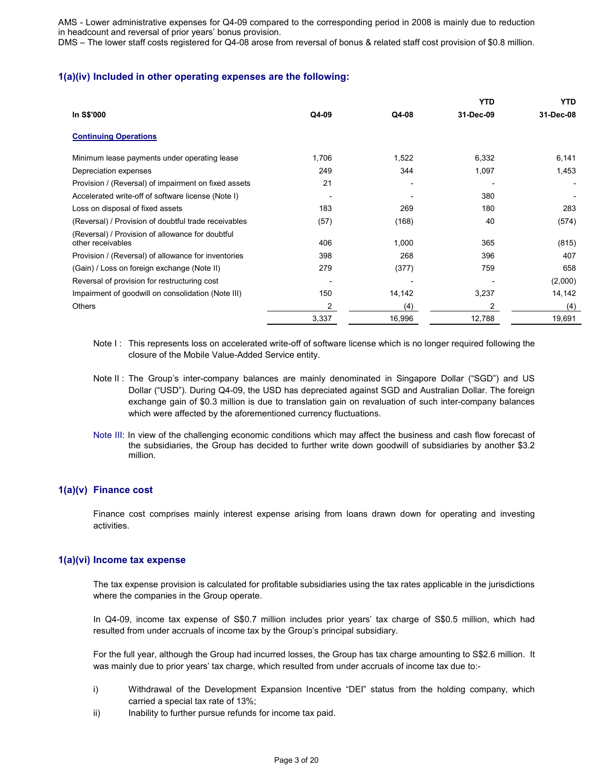AMS - Lower administrative expenses for Q4-09 compared to the corresponding period in 2008 is mainly due to reduction in headcount and reversal of prior years' bonus provision.

DMS – The lower staff costs registered for Q4-08 arose from reversal of bonus & related staff cost provision of \$0.8 million.

### **1(a)(iv) Included in other operating expenses are the following:**

|                                                                       |                          |        | <b>YTD</b> | <b>YTD</b> |
|-----------------------------------------------------------------------|--------------------------|--------|------------|------------|
| In S\$'000                                                            | Q4-09                    | Q4-08  | 31-Dec-09  | 31-Dec-08  |
| <b>Continuing Operations</b>                                          |                          |        |            |            |
| Minimum lease payments under operating lease                          | 1,706                    | 1,522  | 6,332      | 6,141      |
| Depreciation expenses                                                 | 249                      | 344    | 1,097      | 1,453      |
| Provision / (Reversal) of impairment on fixed assets                  | 21                       |        |            |            |
| Accelerated write-off of software license (Note I)                    |                          |        | 380        |            |
| Loss on disposal of fixed assets                                      | 183                      | 269    | 180        | 283        |
| (Reversal) / Provision of doubtful trade receivables                  | (57)                     | (168)  | 40         | (574)      |
| (Reversal) / Provision of allowance for doubtful<br>other receivables | 406                      | 1,000  | 365        | (815)      |
| Provision / (Reversal) of allowance for inventories                   | 398                      | 268    | 396        | 407        |
| (Gain) / Loss on foreign exchange (Note II)                           | 279                      | (377)  | 759        | 658        |
| Reversal of provision for restructuring cost                          | $\overline{\phantom{0}}$ |        |            | (2,000)    |
| Impairment of goodwill on consolidation (Note III)                    | 150                      | 14,142 | 3,237      | 14,142     |
| <b>Others</b>                                                         | 2                        | (4)    | 2          | (4)        |
|                                                                       | 3,337                    | 16,996 | 12,788     | 19,691     |

- Note I: This represents loss on accelerated write-off of software license which is no longer required following the closure of the Mobile Value-Added Service entity.
- Note II : The Group's inter-company balances are mainly denominated in Singapore Dollar ("SGD") and US Dollar ("USD"). During Q4-09, the USD has depreciated against SGD and Australian Dollar. The foreign exchange gain of \$0.3 million is due to translation gain on revaluation of such inter-company balances which were affected by the aforementioned currency fluctuations.
- Note III: In view of the challenging economic conditions which may affect the business and cash flow forecast of the subsidiaries, the Group has decided to further write down goodwill of subsidiaries by another \$3.2 million.

## **1(a)(v) Finance cost**

Finance cost comprises mainly interest expense arising from loans drawn down for operating and investing activities.

#### **1(a)(vi) Income tax expense**

The tax expense provision is calculated for profitable subsidiaries using the tax rates applicable in the jurisdictions where the companies in the Group operate.

In Q4-09, income tax expense of S\$0.7 million includes prior years' tax charge of S\$0.5 million, which had resulted from under accruals of income tax by the Group's principal subsidiary.

For the full year, although the Group had incurred losses, the Group has tax charge amounting to S\$2.6 million. It was mainly due to prior years' tax charge, which resulted from under accruals of income tax due to:-

- i) Withdrawal of the Development Expansion Incentive "DEI" status from the holding company, which carried a special tax rate of 13%;
- ii) Inability to further pursue refunds for income tax paid.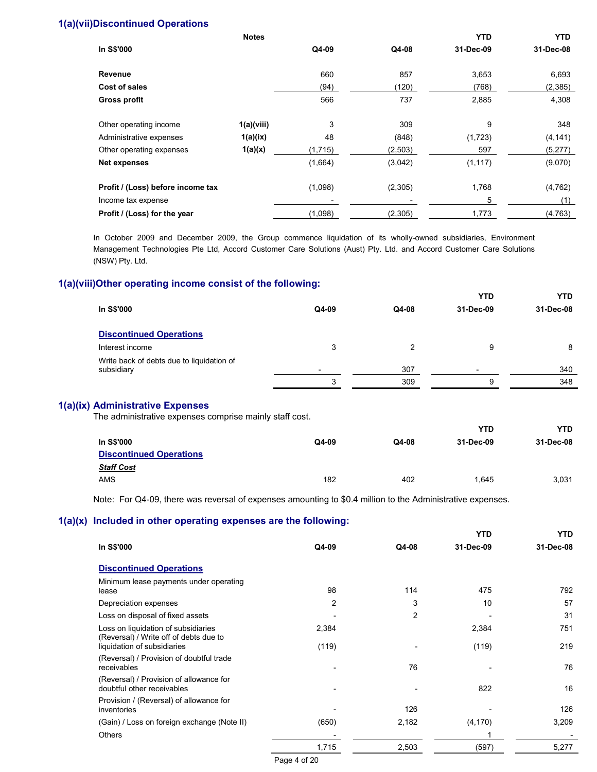## **1(a)(vii)Discontinued Operations**

|                                   | <b>Notes</b> |         |         | <b>YTD</b> | <b>YTD</b> |
|-----------------------------------|--------------|---------|---------|------------|------------|
| In S\$'000                        |              | Q4-09   | Q4-08   | 31-Dec-09  | 31-Dec-08  |
| Revenue                           |              | 660     | 857     | 3,653      | 6,693      |
| Cost of sales                     |              | (94)    | (120)   | (768)      | (2, 385)   |
| <b>Gross profit</b>               |              | 566     | 737     | 2,885      | 4,308      |
| Other operating income            | 1(a)(viii)   | 3       | 309     | 9          | 348        |
| Administrative expenses           | 1(a)(ix)     | 48      | (848)   | (1,723)    | (4, 141)   |
| Other operating expenses          | 1(a)(x)      | (1,715) | (2,503) | 597        | (5,277)    |
| <b>Net expenses</b>               |              | (1,664) | (3,042) | (1, 117)   | (9,070)    |
| Profit / (Loss) before income tax |              | (1,098) | (2,305) | 1,768      | (4, 762)   |
| Income tax expense                |              |         |         | 5          | (1)        |
| Profit / (Loss) for the year      |              | (1,098) | (2,305) | 1,773      | (4,763)    |

In October 2009 and December 2009, the Group commence liquidation of its wholly-owned subsidiaries, Environment Management Technologies Pte Ltd, Accord Customer Care Solutions (Aust) Pty. Ltd. and Accord Customer Care Solutions (NSW) Pty. Ltd.

## **1(a)(viii)Other operating income consist of the following:**

| <b>YTD</b>                                                                                 | YTD       |
|--------------------------------------------------------------------------------------------|-----------|
| In S\$'000<br>Q4-09<br>Q4-08<br>31-Dec-09                                                  | 31-Dec-08 |
| <b>Discontinued Operations</b>                                                             |           |
| 9<br>Interest income<br>3                                                                  | 8         |
| Write back of debts due to liquidation of<br>subsidiary<br>307<br>$\overline{\phantom{a}}$ | 340       |
| 309<br>g                                                                                   | 348       |

### **1(a)(ix) Administrative Expenses**

The administrative expenses comprise mainly staff cost.

|                                |       |       | YTD       | YTD.      |
|--------------------------------|-------|-------|-----------|-----------|
| In S\$'000                     | Q4-09 | Q4-08 | 31-Dec-09 | 31-Dec-08 |
| <b>Discontinued Operations</b> |       |       |           |           |
| <b>Staff Cost</b>              |       |       |           |           |
| AMS                            | 182   | 402   | 1.645     | 3,031     |

Note: For Q4-09, there was reversal of expenses amounting to \$0.4 million to the Administrative expenses.

## **1(a)(x) Included in other operating expenses are the following:**

|                                                                               |       |                | <b>YTD</b> | <b>YTD</b> |
|-------------------------------------------------------------------------------|-------|----------------|------------|------------|
| In S\$'000                                                                    | Q4-09 | Q4-08          | 31-Dec-09  | 31-Dec-08  |
| <b>Discontinued Operations</b>                                                |       |                |            |            |
| Minimum lease payments under operating<br>lease                               | 98    | 114            | 475        | 792        |
| Depreciation expenses                                                         | 2     | 3              | 10         | 57         |
| Loss on disposal of fixed assets                                              |       | $\overline{c}$ |            | 31         |
| Loss on liquidation of subsidiaries<br>(Reversal) / Write off of debts due to | 2,384 |                | 2,384      | 751        |
| liquidation of subsidiaries                                                   | (119) |                | (119)      | 219        |
| (Reversal) / Provision of doubtful trade<br>receivables                       |       | 76             |            | 76         |
| (Reversal) / Provision of allowance for<br>doubtful other receivables         |       |                | 822        | 16         |
| Provision / (Reversal) of allowance for<br>inventories                        |       | 126            |            | 126        |
| (Gain) / Loss on foreign exchange (Note II)                                   | (650) | 2,182          | (4, 170)   | 3,209      |
| <b>Others</b>                                                                 |       |                |            |            |
|                                                                               | 1,715 | 2,503          | (597)      | 5,277      |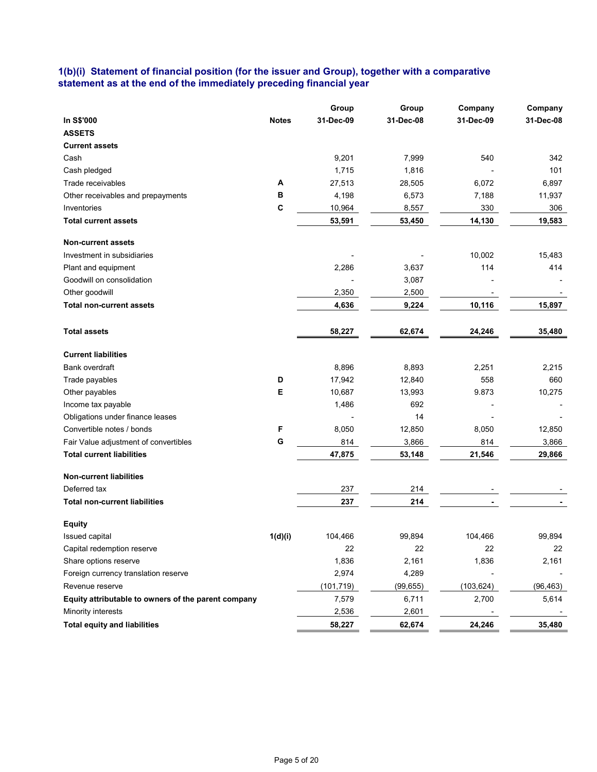## **1(b)(i) Statement of financial position (for the issuer and Group), together with a comparative statement as at the end of the immediately preceding financial year**

|                                                     |              | Group      | Group     | Company    | Company   |
|-----------------------------------------------------|--------------|------------|-----------|------------|-----------|
| In S\$'000                                          | <b>Notes</b> | 31-Dec-09  | 31-Dec-08 | 31-Dec-09  | 31-Dec-08 |
| <b>ASSETS</b>                                       |              |            |           |            |           |
| <b>Current assets</b>                               |              |            |           |            |           |
| Cash                                                |              | 9,201      | 7,999     | 540        | 342       |
| Cash pledged                                        |              | 1,715      | 1,816     |            | 101       |
| Trade receivables                                   | Α            | 27,513     | 28,505    | 6,072      | 6,897     |
| Other receivables and prepayments                   | в            | 4,198      | 6,573     | 7,188      | 11,937    |
| Inventories                                         | C            | 10,964     | 8,557     | 330        | 306       |
| <b>Total current assets</b>                         |              | 53,591     | 53,450    | 14,130     | 19,583    |
| <b>Non-current assets</b>                           |              |            |           |            |           |
| Investment in subsidiaries                          |              |            |           | 10,002     | 15,483    |
| Plant and equipment                                 |              | 2,286      | 3,637     | 114        | 414       |
| Goodwill on consolidation                           |              |            | 3,087     |            |           |
| Other goodwill                                      |              | 2,350      | 2,500     |            |           |
| <b>Total non-current assets</b>                     |              | 4,636      | 9,224     | 10,116     | 15,897    |
|                                                     |              |            |           |            |           |
| <b>Total assets</b>                                 |              | 58,227     | 62,674    | 24,246     | 35,480    |
| <b>Current liabilities</b>                          |              |            |           |            |           |
| Bank overdraft                                      |              | 8,896      | 8,893     | 2,251      | 2,215     |
| Trade payables                                      | D            | 17,942     | 12,840    | 558        | 660       |
| Other payables                                      | E            | 10,687     | 13,993    | 9.873      | 10,275    |
| Income tax payable                                  |              | 1,486      | 692       |            |           |
| Obligations under finance leases                    |              |            | 14        |            |           |
| Convertible notes / bonds                           | F            | 8,050      | 12,850    | 8,050      | 12,850    |
| Fair Value adjustment of convertibles               | G            | 814        | 3,866     | 814        | 3,866     |
| <b>Total current liabilities</b>                    |              | 47,875     | 53,148    | 21,546     | 29,866    |
| <b>Non-current liabilities</b>                      |              |            |           |            |           |
| Deferred tax                                        |              | 237        | 214       |            |           |
| <b>Total non-current liabilities</b>                |              | 237        | 214       |            |           |
| <b>Equity</b>                                       |              |            |           |            |           |
| Issued capital                                      | 1(d)(i)      | 104,466    | 99,894    | 104,466    | 99,894    |
| Capital redemption reserve                          |              | 22         | 22        | 22         | 22        |
| Share options reserve                               |              | 1,836      | 2,161     | 1,836      | 2,161     |
| Foreign currency translation reserve                |              | 2,974      | 4,289     |            |           |
| Revenue reserve                                     |              | (101, 719) | (99, 655) | (103, 624) | (96, 463) |
| Equity attributable to owners of the parent company |              | 7,579      | 6,711     | 2,700      | 5,614     |
| Minority interests                                  |              | 2,536      | 2,601     |            |           |
| <b>Total equity and liabilities</b>                 |              | 58,227     | 62,674    | 24,246     | 35,480    |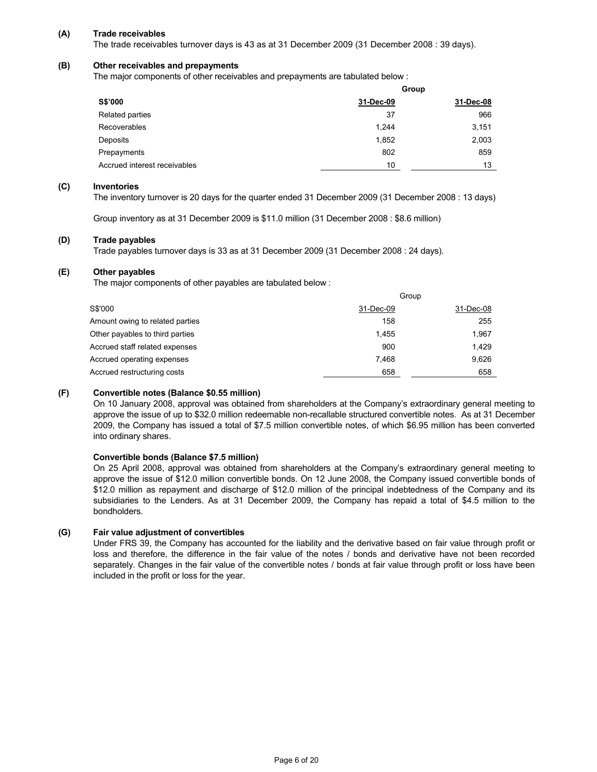#### **(A) Trade receivables**

The trade receivables turnover days is 43 as at 31 December 2009 (31 December 2008 : 39 days).

## **(B) Other receivables and prepayments**

The major components of other receivables and prepayments are tabulated below :

|                              |           | Group     |
|------------------------------|-----------|-----------|
| S\$'000                      | 31-Dec-09 | 31-Dec-08 |
| Related parties              | 37        | 966       |
| Recoverables                 | 1.244     | 3,151     |
| Deposits                     | 1,852     | 2,003     |
| Prepayments                  | 802       | 859       |
| Accrued interest receivables | 10        | 13        |

#### **(C) Inventories**

The inventory turnover is 20 days for the quarter ended 31 December 2009 (31 December 2008 : 13 days)

Group inventory as at 31 December 2009 is \$11.0 million (31 December 2008 : \$8.6 million)

#### **(D) Trade payables**

Trade payables turnover days is 33 as at 31 December 2009 (31 December 2008 : 24 days).

#### **(E) Other payables**

The major components of other payables are tabulated below :

|                                 |           | Group     |
|---------------------------------|-----------|-----------|
| S\$'000                         | 31-Dec-09 | 31-Dec-08 |
| Amount owing to related parties | 158       | 255       |
| Other payables to third parties | 1.455     | 1.967     |
| Accrued staff related expenses  | 900       | 1.429     |
| Accrued operating expenses      | 7.468     | 9.626     |
| Accrued restructuring costs     | 658       | 658       |

#### **(F) Convertible notes (Balance \$0.55 million)**

On 10 January 2008, approval was obtained from shareholders at the Company's extraordinary general meeting to approve the issue of up to \$32.0 million redeemable non-recallable structured convertible notes. As at 31 December 2009, the Company has issued a total of \$7.5 million convertible notes, of which \$6.95 million has been converted into ordinary shares.

#### **Convertible bonds (Balance \$7.5 million)**

On 25 April 2008, approval was obtained from shareholders at the Company's extraordinary general meeting to approve the issue of \$12.0 million convertible bonds. On 12 June 2008, the Company issued convertible bonds of \$12.0 million as repayment and discharge of \$12.0 million of the principal indebtedness of the Company and its subsidiaries to the Lenders. As at 31 December 2009, the Company has repaid a total of \$4.5 million to the bondholders.

#### **(G) Fair value adjustment of convertibles**

Under FRS 39, the Company has accounted for the liability and the derivative based on fair value through profit or loss and therefore, the difference in the fair value of the notes / bonds and derivative have not been recorded separately. Changes in the fair value of the convertible notes / bonds at fair value through profit or loss have been included in the profit or loss for the year.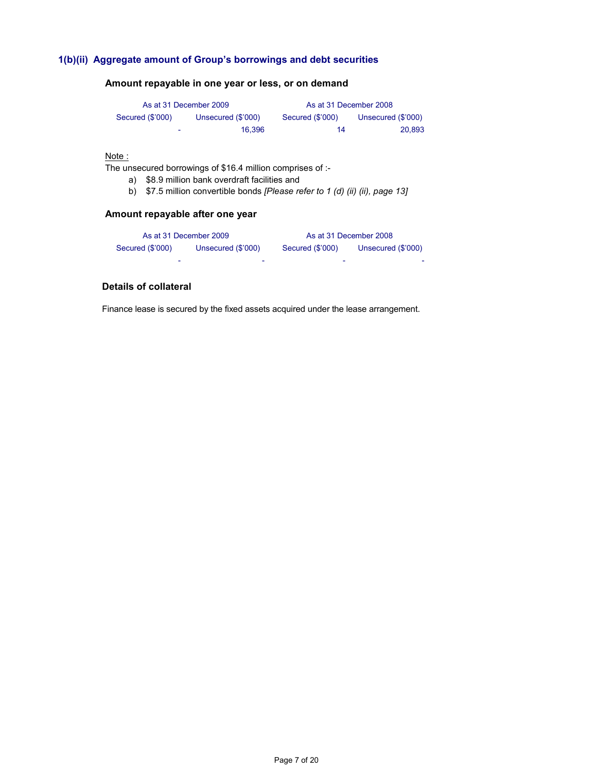## **1(b)(ii) Aggregate amount of Group's borrowings and debt securities**

|                  | As at 31 December 2009 | As at 31 December 2008 |                    |
|------------------|------------------------|------------------------|--------------------|
| Secured (\$'000) | Unsecured (\$'000)     | Secured (\$'000)       | Unsecured (\$'000) |
| ۰                | 16.396                 | 14                     | 20.893             |

## **Amount repayable in one year or less, or on demand**

#### Note:

The unsecured borrowings of \$16.4 million comprises of :-

- a) \$8.9 million bank overdraft facilities and
- b) \$7.5 million convertible bonds *[Please refer to 1 (d) (ii) (ii), page 13]*

## **Amount repayable after one year**

|                  | As at 31 December 2009   | As at 31 December 2008 |                          |
|------------------|--------------------------|------------------------|--------------------------|
| Secured (\$'000) | Unsecured (\$'000)       | Secured (\$'000)       | Unsecured (\$'000)       |
| -                | $\overline{\phantom{a}}$ | -                      | $\overline{\phantom{a}}$ |

## **Details of collateral**

Finance lease is secured by the fixed assets acquired under the lease arrangement.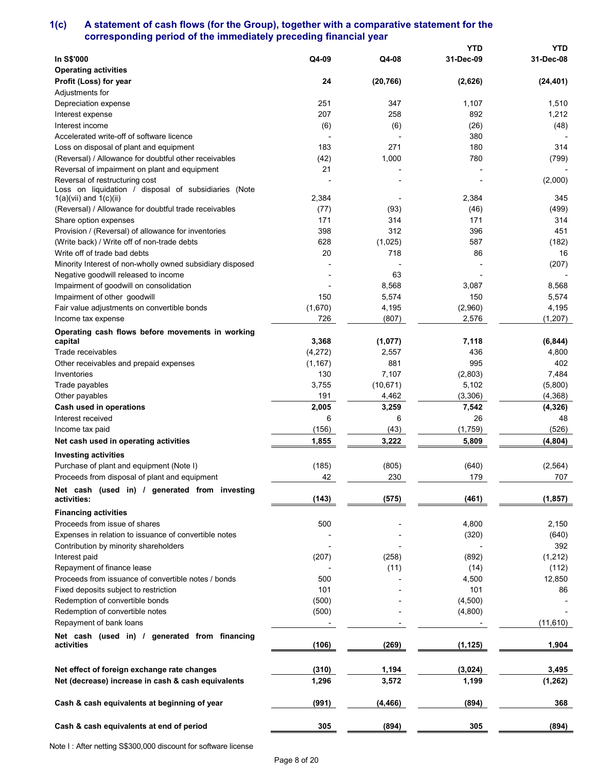## **1(c) A statement of cash flows (for the Group), together with a comparative statement for the corresponding period of the immediately preceding financial year**

|                                                           |          |           | <b>YTD</b> | <b>YTD</b> |
|-----------------------------------------------------------|----------|-----------|------------|------------|
| In S\$'000                                                | Q4-09    | Q4-08     | 31-Dec-09  | 31-Dec-08  |
| <b>Operating activities</b>                               |          |           |            |            |
| Profit (Loss) for year                                    | 24       | (20, 766) | (2,626)    | (24, 401)  |
| Adjustments for                                           |          |           |            |            |
| Depreciation expense                                      | 251      | 347       | 1,107      | 1,510      |
| Interest expense                                          | 207      | 258       | 892        | 1,212      |
| Interest income                                           | (6)      | (6)       | (26)       | (48)       |
| Accelerated write-off of software licence                 |          |           | 380        |            |
| Loss on disposal of plant and equipment                   | 183      | 271       | 180        | 314        |
| (Reversal) / Allowance for doubtful other receivables     | (42)     | 1,000     | 780        | (799)      |
| Reversal of impairment on plant and equipment             | 21       |           |            |            |
| Reversal of restructuring cost                            |          |           |            | (2,000)    |
| Loss on liquidation / disposal of subsidiaries (Note      |          |           |            |            |
| $1(a)(vii)$ and $1(c)(ii)$                                | 2,384    |           | 2,384      | 345        |
| (Reversal) / Allowance for doubtful trade receivables     | (77)     | (93)      | (46)       | (499)      |
| Share option expenses                                     | 171      | 314       | 171        | 314        |
| Provision / (Reversal) of allowance for inventories       | 398      | 312       | 396        | 451        |
| (Write back) / Write off of non-trade debts               | 628      | (1,025)   | 587        | (182)      |
| Write off of trade bad debts                              | 20       | 718       | 86         | 16         |
| Minority Interest of non-wholly owned subsidiary disposed |          |           |            | (207)      |
| Negative goodwill released to income                      |          | 63        |            |            |
| Impairment of goodwill on consolidation                   |          | 8,568     | 3,087      | 8,568      |
| Impairment of other goodwill                              | 150      | 5,574     | 150        | 5,574      |
| Fair value adjustments on convertible bonds               | (1,670)  | 4,195     | (2,960)    | 4,195      |
| Income tax expense                                        | 726      | (807)     | 2,576      | (1, 207)   |
| Operating cash flows before movements in working          |          |           |            |            |
| capital                                                   | 3,368    | (1,077)   | 7,118      | (6, 844)   |
| Trade receivables                                         | (4,272)  | 2,557     | 436        | 4,800      |
| Other receivables and prepaid expenses                    | (1, 167) | 881       | 995        | 402        |
| Inventories                                               | 130      | 7,107     | (2,803)    | 7,484      |
| Trade payables                                            | 3,755    | (10, 671) | 5,102      | (5,800)    |
| Other payables                                            | 191      | 4,462     | (3,306)    | (4,368)    |
| Cash used in operations                                   | 2,005    | 3,259     | 7,542      | (4, 326)   |
| Interest received                                         | 6        | 6         | 26         | 48         |
| Income tax paid                                           | (156)    | (43)      | (1,759)    | (526)      |
| Net cash used in operating activities                     | 1,855    |           | 5,809      | (4, 804)   |
|                                                           |          | 3,222     |            |            |
| <b>Investing activities</b>                               |          |           |            |            |
| Purchase of plant and equipment (Note I)                  | (185)    | (805)     | (640)      | (2, 564)   |
| Proceeds from disposal of plant and equipment             | 42       | 230       | 179        | 707        |
| Net cash (used in) / generated from investing             |          |           |            |            |
| activities:                                               | (143)    | (575)     | (461)      | (1, 857)   |
| <b>Financing activities</b>                               |          |           |            |            |
| Proceeds from issue of shares                             | 500      |           | 4,800      | 2,150      |
| Expenses in relation to issuance of convertible notes     |          |           | (320)      | (640)      |
| Contribution by minority shareholders                     |          |           |            | 392        |
| Interest paid                                             | (207)    | (258)     | (892)      | (1, 212)   |
| Repayment of finance lease                                |          | (11)      | (14)       | (112)      |
| Proceeds from issuance of convertible notes / bonds       | 500      |           | 4,500      | 12,850     |
| Fixed deposits subject to restriction                     | 101      |           | 101        | 86         |
| Redemption of convertible bonds                           | (500)    |           | (4,500)    |            |
| Redemption of convertible notes                           | (500)    |           | (4,800)    |            |
| Repayment of bank loans                                   |          |           |            | (11, 610)  |
| Net cash (used in) / generated from financing             |          |           |            |            |
| activities                                                | (106)    | (269)     | (1, 125)   | 1,904      |
|                                                           |          |           |            |            |
| Net effect of foreign exchange rate changes               | (310)    | 1,194     | (3,024)    | 3,495      |
| Net (decrease) increase in cash & cash equivalents        | 1,296    | 3,572     | 1,199      | (1, 262)   |
| Cash & cash equivalents at beginning of year              | (991)    | (4, 466)  | (894)      | 368        |
|                                                           |          |           |            |            |
| Cash & cash equivalents at end of period                  | 305      | (894)     | 305        | (894)      |

Note I : After netting S\$300,000 discount for software license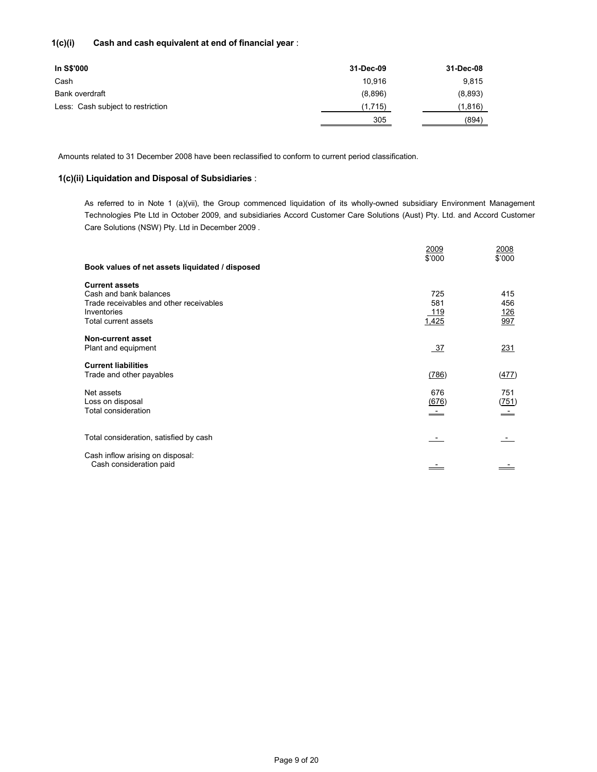## **1(c)(i) Cash and cash equivalent at end of financial year** :

| In S\$'000                        | 31-Dec-09 | 31-Dec-08 |
|-----------------------------------|-----------|-----------|
| Cash                              | 10.916    | 9.815     |
| Bank overdraft                    | (8,896)   | (8,893)   |
| Less: Cash subject to restriction | (1,715)   | (1,816)   |
|                                   | 305       | (894)     |

Amounts related to 31 December 2008 have been reclassified to conform to current period classification.

### **1(c)(ii) Liquidation and Disposal of Subsidiaries** :

As referred to in Note 1 (a)(vii), the Group commenced liquidation of its wholly-owned subsidiary Environment Management Technologies Pte Ltd in October 2009, and subsidiaries Accord Customer Care Solutions (Aust) Pty. Ltd. and Accord Customer Care Solutions (NSW) Pty. Ltd in December 2009 .

|                                                 | 2009<br>\$'000           | 2008<br>\$'000 |
|-------------------------------------------------|--------------------------|----------------|
| Book values of net assets liquidated / disposed |                          |                |
| <b>Current assets</b>                           |                          |                |
| Cash and bank balances                          | 725                      | 415            |
| Trade receivables and other receivables         | 581                      | 456            |
| Inventories                                     | 119                      | <u>126</u>     |
| Total current assets                            | 1,425                    | 997            |
| <b>Non-current asset</b>                        |                          |                |
| Plant and equipment                             | -37                      | 231            |
| <b>Current liabilities</b>                      |                          |                |
| Trade and other payables                        | (786)                    | (477)          |
| Net assets                                      | 676                      | 751            |
| Loss on disposal                                | (676)                    | (751)          |
| Total consideration                             | $\overline{\phantom{a}}$ | <u>____</u>    |
| Total consideration, satisfied by cash          |                          |                |
| Cash inflow arising on disposal:                |                          |                |
| Cash consideration paid                         |                          |                |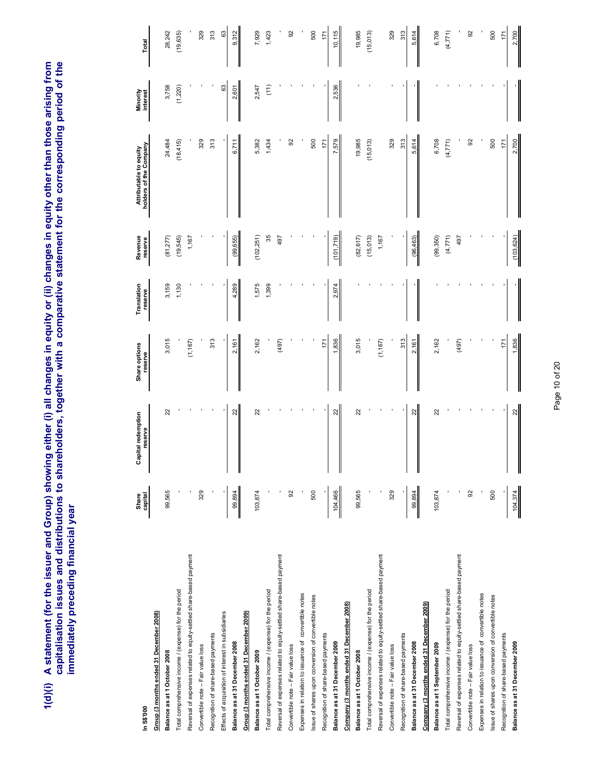1(d)(i) A statement (for the issuer and Group) showing either (i) all changes in equity or (ii) changes in equity other than those arising from<br>capitalisation issues and distributions to shareholders, together with a compa **1(d)(i) A statement (for the issuer and Group) showing either (i) all changes in equity or (ii) changes in equity other than those arising from capitalisation issues and distributions to shareholders, together with a comparative statement for the corresponding period of the immediately preceding financial year** 

|                                                                    |                  | Capital redemption | Share options | Translation | Revenue    | Attributable to equity | Minority |           |
|--------------------------------------------------------------------|------------------|--------------------|---------------|-------------|------------|------------------------|----------|-----------|
| In S\$'000                                                         | Share<br>capital | reserve            | reserve       | reserve     | reserve    | holders of the Company | interest | Total     |
| Group (3 months ended 31 December 2008)                            |                  |                    |               |             |            |                        |          |           |
| Balance as at 1 October 2008                                       | 99,565           | 22                 | 3,015         | 3,159       | (81,277)   | 24,484                 | 3,758    | 28,242    |
| Total comprehensive income / (expense) for the period              |                  |                    |               | 1,130       | (19,545)   | (18, 415)              | (1, 220) | (19, 635) |
| Reversal of expenses related to equity-settled share-based payment |                  |                    | (1, 167)      |             | 1,167      |                        |          |           |
| Convertible note - Fair value loss                                 | 329              |                    |               |             |            | 329                    |          | 329       |
| Recognition of share-based payments                                |                  |                    | 313           |             |            | 313                    |          | 313       |
| Effects of acquisition of interest in subsidiaries                 |                  |                    |               |             |            |                        | 63       | 63        |
| Balance as at 31 December 2008                                     | 99,894           | $_{22}$            | 2,161         | 4,289       | (99, 655)  | 6,711                  | 2,601    | 9,312     |
| Group (3 months ended 31 December 2009)                            |                  |                    |               |             |            |                        |          |           |
| Balance as at 1 October 2009                                       | 103,874          | 22                 | 2,162         | 1,575       | (102, 251) | 5,382                  | 2,547    | 7,929     |
| Total comprehensive income / (expense) for the period              |                  |                    |               | 1,399       | 35         | 1,434                  | (11)     | 1,423     |
| Reversal of expenses related to equity-settled share-based payment |                  |                    | (497)         |             | 497        |                        |          |           |
| Convertible note - Fair value loss                                 | 92               |                    |               |             |            | 8                      |          | 92        |
| Expenses in relation to issuance of convertible notes              |                  |                    |               |             |            |                        |          |           |
| issue of shares upon conversion of convertible notes               | 500              |                    |               |             |            | 500                    |          | 500       |
| Recognition of share-based payments                                |                  |                    | 171           |             |            | 171                    |          | 171       |
| Balance as at 31 December 2009                                     | 104,466          | 22                 | 1,836         | 2,974       | (101, 719) | 7,579                  | 2,536    | 10,115    |
| Company (3 months ended 31 December 2008)                          |                  |                    |               |             |            |                        |          |           |
| Balance as at 1 October 2008                                       | 99,565           | 22                 | 3,015         |             | (82, 617)  | 19,985                 |          | 19,985    |
| Total comprehensive income / (expense) for the period              |                  |                    |               |             | (15,013)   | (15,013)               |          | (15, 013) |
| Reversal of expenses related to equity-settled share-based payment |                  |                    | (1, 167)      |             | 1,167      |                        |          |           |
| Convertible note - Fair value loss                                 | 329              |                    |               |             |            | 329                    |          | 329       |
| Recognition of share-based payments                                |                  |                    | 313           |             |            | 313                    |          | 313       |
| Balance as at 31 December 2008                                     | 99,894           | 22                 | 2,161         |             | (96, 463)  | 5,614                  |          | 5,614     |
| Company (3 months ended 31 December 2009)                          |                  |                    |               |             |            |                        |          |           |
| Balance as at 1 September 2009                                     | 103,874          | 22                 | 2,162         |             | (99,350)   | 6,708                  |          | 6,708     |
| Total comprehensive income / (expense) for the period              |                  |                    |               |             | (4,771)    | (4, 771)               |          | (4, 771)  |
| Reversal of expenses related to equity-settled share-based payment |                  |                    | (497)         |             | 497        |                        |          |           |
| Convertible note - Fair value loss                                 | 92               |                    |               |             |            | 92                     |          | 92        |
| Expenses in relation to issuance of convertible notes              |                  |                    |               |             |            |                        |          |           |
| issue of shares upon conversion of convertible notes               | 500              |                    |               |             |            | 500                    |          | 500       |
| Recognition of share-based payments                                |                  |                    | 171           |             |            | 171                    |          | 171       |
| Balance as at 31 December 2009                                     | 104,374          | $_{\rm 22}$        | 1,836         |             | (103, 624) | 2,700                  |          | 2,700     |

# Page 10 of 20 Page 10 of 20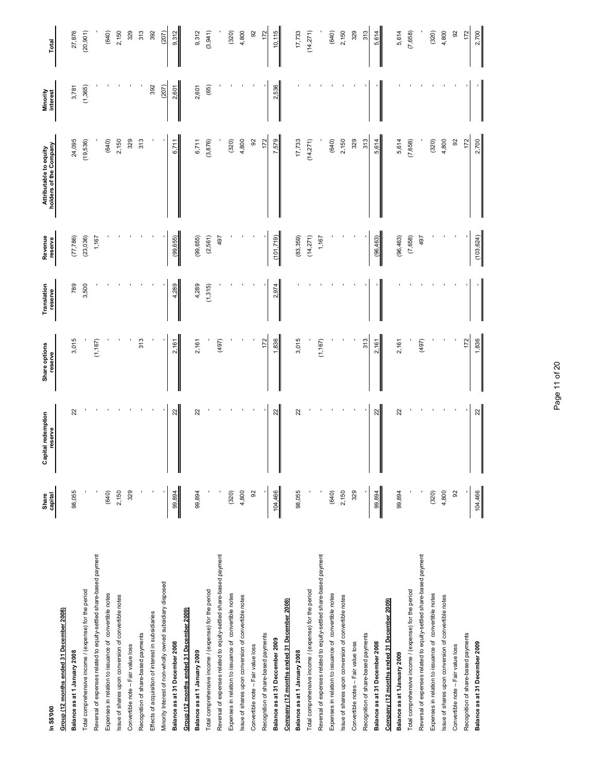| In S\$000                                                          | Share<br>capital | ipital redemption<br>reserve<br>ౘ | Share options<br>reserve | Translation<br>reserve | Revenue<br>reserve | Attributable to equity<br>holders of the Company | Minority<br>interest | Total     |
|--------------------------------------------------------------------|------------------|-----------------------------------|--------------------------|------------------------|--------------------|--------------------------------------------------|----------------------|-----------|
| Group (12 months ended 31 December 2008)                           |                  |                                   |                          |                        |                    |                                                  |                      |           |
| Balance as at 1 January 2008                                       | 98,055           | ಜ                                 | 3,015                    | 789                    | (77, 786)          | 24,095                                           | 3,781                | 27,876    |
| Total comprehensive income / (expense) for the period              |                  |                                   |                          | 3,500                  | (23, 036)          | (19,536)                                         | (1,365)              | (20, 901) |
| Reversal of expenses related to equity-settled share-based payment |                  |                                   | (1, 167)                 |                        | 1,167              |                                                  |                      |           |
| Expenses in relation to issuance of convertible notes              | (640)            |                                   |                          |                        |                    | (640)                                            |                      | (640)     |
| Issue of shares upon conversion of convertible notes               | 2,150            |                                   |                          |                        |                    | 2,150                                            |                      | 2,150     |
| Convertible note - Fair value loss                                 | 329              |                                   |                          |                        |                    | 329                                              |                      | 329       |
| Recognition of share-based payments                                |                  |                                   | 313                      |                        |                    | 313                                              |                      | 313       |
| Effects of acquisition of interest in subsidiaries                 |                  |                                   |                          |                        |                    |                                                  | 392                  | 392       |
| Minority Interest of non-wholly owned subsidiary disposed          |                  |                                   |                          |                        |                    |                                                  | (207)                | (207)     |
| Balance as at 31 December 2008                                     | 99,894           | $\overline{2}$                    | 2,161                    | 4,289                  | (99, 655)          | 6,711                                            | 2,601                | 9,312     |
| Group (12 months ended 31 December 2009)                           |                  |                                   |                          |                        |                    |                                                  |                      |           |
| Balance as at 1 January 2009                                       | 99,894           | 22                                | 2,161                    | 4,289                  | (99, 655)          | 6,711                                            | 2,601                | 9,312     |
| Total comprehensive income / (expense) for the period              |                  |                                   |                          | (1,315)                | (2,561)            | (3,876)                                          | (65)                 | (3,941)   |
| Reversal of expenses related to equity-settled share-based payment |                  |                                   | (497)                    |                        | 497                |                                                  |                      |           |
| Expenses in relation to issuance of convertible notes              | (320)            |                                   |                          |                        |                    | (320)                                            |                      | (320)     |
| Issue of shares upon conversion of convertible notes               | 4,800            |                                   |                          |                        |                    | 4,800                                            |                      | 4,800     |
| Convertible note - Fair value loss                                 | $\overline{9}$   |                                   |                          |                        |                    | 92                                               |                      | 92        |
| Recognition of share-based payments                                |                  |                                   | 172                      |                        |                    | 172                                              |                      | 172       |
| Balance as at 31 Deccember 2009                                    | 104,466          | 22                                | 1,836                    | 2,974                  | (101, 719)         | 7,579                                            | 2,536                | 10,115    |
| Company (12 months ended 31 December 2008)                         |                  |                                   |                          |                        |                    |                                                  |                      |           |
| Balance as at 1 January 2008                                       | 98,055           | 22                                | 3,015                    |                        | (83,359)           | 17,733                                           |                      | 17,733    |
| Total comprehensive income / (expense) for the period              |                  |                                   |                          |                        | (14,271)           | (14,271)                                         |                      | (14, 271) |
| Reversal of expenses related to equity-settled share-based payment |                  |                                   | (1, 167)                 |                        | 1,167              |                                                  |                      |           |
| Expenses in relation to issuance of convertible notes              | (640)            |                                   |                          |                        |                    | (640)                                            |                      | (640)     |
| Issue of shares upon conversion of convertible notes               | 2,150            |                                   |                          |                        |                    | 2,150                                            |                      | 2,150     |
| Convertible notes - Fair value loss                                | 329              |                                   |                          |                        |                    | 329                                              |                      | 329       |
| Recognition of share-based payments                                |                  |                                   | 313                      |                        |                    | 313                                              |                      | 313       |
| Balance as at 31 December 2008                                     | 99,894           | 22                                | 2,161                    |                        | (96, 463)          | 5,614                                            |                      | 5,614     |
| Company (12 months ended 31 December 2009)                         |                  |                                   |                          |                        |                    |                                                  |                      |           |
| Balance as at 1January 2009                                        | 99,894           | 22                                | 2,161                    |                        | (96, 463)          | 5,614                                            |                      | 5,614     |
| Total comprehensive income / (expense) for the period              |                  |                                   |                          |                        | (7,658)            | (7,658)                                          |                      | (7,658)   |
| Reversal of expenses related to equity-settled share-based payment |                  |                                   | (497)                    |                        | 497                |                                                  |                      |           |
| Expenses in relation to issuance of convertible notes              | (320)            |                                   |                          |                        |                    | (320)                                            |                      | (320)     |
| Issue of shares upon conversion of convertible notes               | 4,800            |                                   |                          |                        |                    | 4,800                                            |                      | 4,800     |
| Convertible note - Fair value loss                                 | 8                |                                   |                          |                        |                    | 92                                               |                      | 92        |
| Recognition of share-based payments                                |                  |                                   | 172                      |                        |                    | 172                                              |                      | 172       |
| Balance as at 31 December 2009                                     | 104,466          | $\overline{2}$                    | 1,836                    |                        | (103, 624)         | 2,700                                            |                      | 2,700     |

Page 11 of 20 Page 11 of 20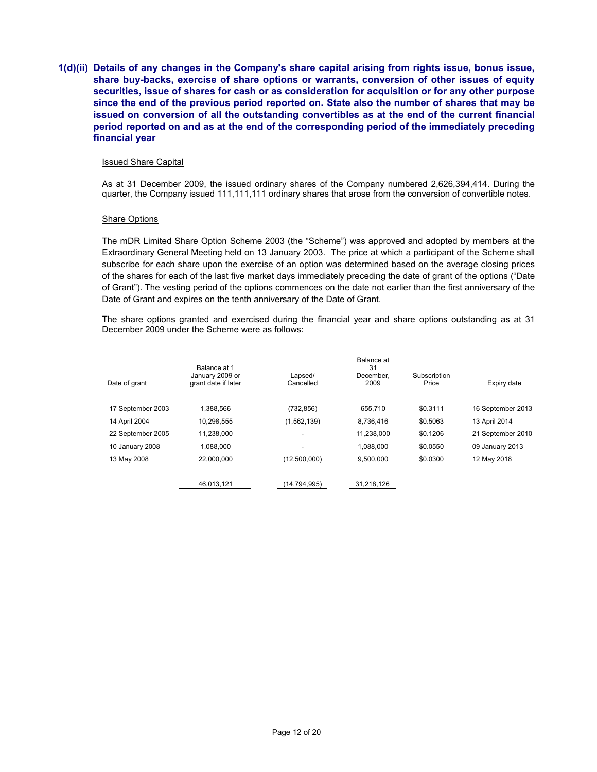**1(d)(ii) Details of any changes in the Company's share capital arising from rights issue, bonus issue, share buy-backs, exercise of share options or warrants, conversion of other issues of equity securities, issue of shares for cash or as consideration for acquisition or for any other purpose since the end of the previous period reported on. State also the number of shares that may be issued on conversion of all the outstanding convertibles as at the end of the current financial period reported on and as at the end of the corresponding period of the immediately preceding financial year** 

#### Issued Share Capital

As at 31 December 2009, the issued ordinary shares of the Company numbered 2,626,394,414. During the quarter, the Company issued 111,111,111 ordinary shares that arose from the conversion of convertible notes.

#### Share Options

The mDR Limited Share Option Scheme 2003 (the "Scheme") was approved and adopted by members at the Extraordinary General Meeting held on 13 January 2003. The price at which a participant of the Scheme shall subscribe for each share upon the exercise of an option was determined based on the average closing prices of the shares for each of the last five market days immediately preceding the date of grant of the options ("Date of Grant"). The vesting period of the options commences on the date not earlier than the first anniversary of the Date of Grant and expires on the tenth anniversary of the Date of Grant.

The share options granted and exercised during the financial year and share options outstanding as at 31 December 2009 under the Scheme were as follows:

|                   | Balance at 1                           |                      | Balance at<br>31  |                       |                   |
|-------------------|----------------------------------------|----------------------|-------------------|-----------------------|-------------------|
| Date of grant     | January 2009 or<br>grant date if later | Lapsed/<br>Cancelled | December.<br>2009 | Subscription<br>Price | Expiry date       |
| 17 September 2003 | 1.388.566                              | (732, 856)           | 655.710           | \$0.3111              | 16 September 2013 |
| 14 April 2004     | 10,298,555                             | (1,562,139)          | 8.736.416         | \$0.5063              | 13 April 2014     |
| 22 September 2005 | 11,238,000                             |                      | 11,238,000        | \$0.1206              | 21 September 2010 |
| 10 January 2008   | 1.088.000                              |                      | 1.088.000         | \$0.0550              | 09 January 2013   |
| 13 May 2008       | 22,000,000                             | (12,500,000)         | 9,500,000         | \$0.0300              | 12 May 2018       |
|                   | 46,013,121                             | (14,794,995)         | 31,218,126        |                       |                   |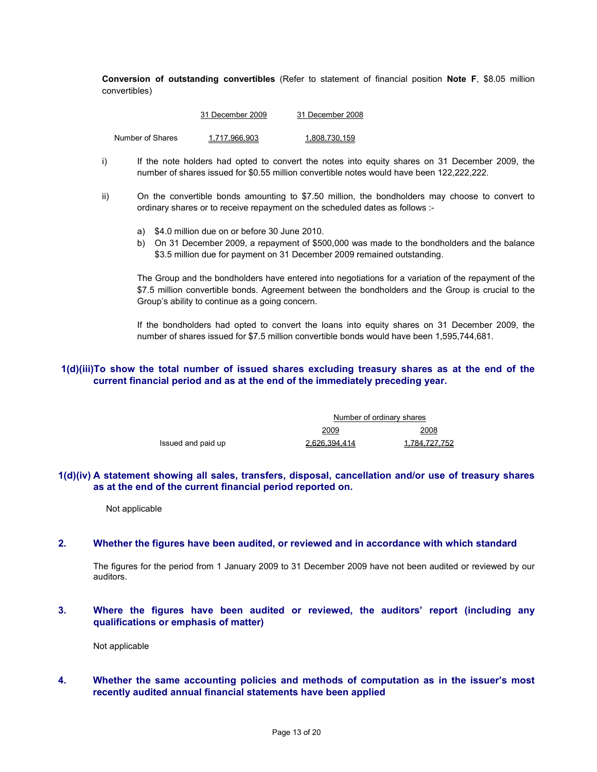**Conversion of outstanding convertibles** (Refer to statement of financial position **Note F**, \$8.05 million convertibles)

|                  | 31 December 2009 | 31 December 2008 |
|------------------|------------------|------------------|
| Number of Shares | 1.717.966.903    | 1.808.730.159    |

- i) If the note holders had opted to convert the notes into equity shares on 31 December 2009, the number of shares issued for \$0.55 million convertible notes would have been 122,222,222.
- ii) On the convertible bonds amounting to \$7.50 million, the bondholders may choose to convert to ordinary shares or to receive repayment on the scheduled dates as follows :
	- a) \$4.0 million due on or before 30 June 2010.
	- b) On 31 December 2009, a repayment of \$500,000 was made to the bondholders and the balance \$3.5 million due for payment on 31 December 2009 remained outstanding.

The Group and the bondholders have entered into negotiations for a variation of the repayment of the \$7.5 million convertible bonds. Agreement between the bondholders and the Group is crucial to the Group's ability to continue as a going concern.

If the bondholders had opted to convert the loans into equity shares on 31 December 2009, the number of shares issued for \$7.5 million convertible bonds would have been 1,595,744,681.

## **1(d)(iii)To show the total number of issued shares excluding treasury shares as at the end of the current financial period and as at the end of the immediately preceding year.**

|                    | Number of ordinary shares |               |
|--------------------|---------------------------|---------------|
|                    | 2009                      | 2008          |
| Issued and paid up | 2,626,394,414             | 1,784,727,752 |

### **1(d)(iv) A statement showing all sales, transfers, disposal, cancellation and/or use of treasury shares as at the end of the current financial period reported on.**

Not applicable

#### **2. Whether the figures have been audited, or reviewed and in accordance with which standard**

The figures for the period from 1 January 2009 to 31 December 2009 have not been audited or reviewed by our auditors.

**3. Where the figures have been audited or reviewed, the auditors' report (including any qualifications or emphasis of matter)** 

Not applicable

**4. Whether the same accounting policies and methods of computation as in the issuer's most recently audited annual financial statements have been applied**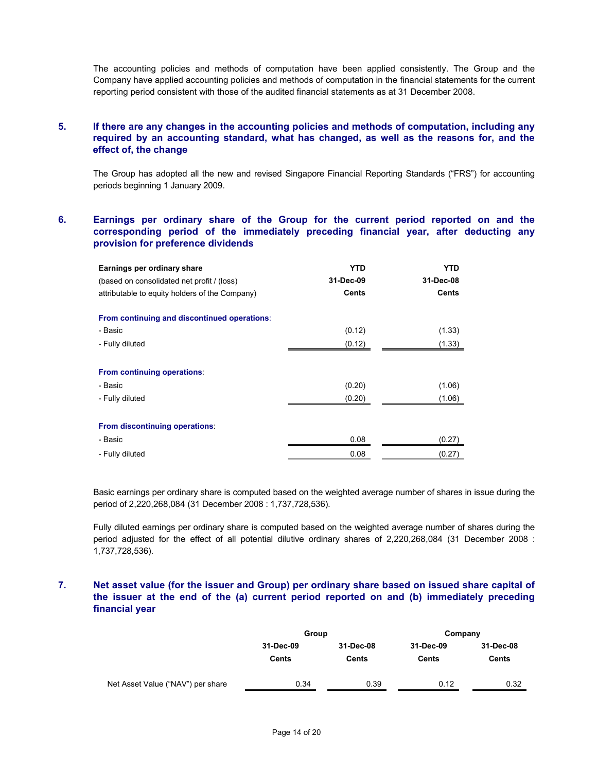The accounting policies and methods of computation have been applied consistently. The Group and the Company have applied accounting policies and methods of computation in the financial statements for the current reporting period consistent with those of the audited financial statements as at 31 December 2008.

## **5. If there are any changes in the accounting policies and methods of computation, including any required by an accounting standard, what has changed, as well as the reasons for, and the effect of, the change**

The Group has adopted all the new and revised Singapore Financial Reporting Standards ("FRS") for accounting periods beginning 1 January 2009.

## **6. Earnings per ordinary share of the Group for the current period reported on and the corresponding period of the immediately preceding financial year, after deducting any provision for preference dividends**

| Earnings per ordinary share                    | <b>YTD</b>   | <b>YTD</b>   |
|------------------------------------------------|--------------|--------------|
| (based on consolidated net profit / (loss)     | 31-Dec-09    | 31-Dec-08    |
| attributable to equity holders of the Company) | <b>Cents</b> | <b>Cents</b> |
| From continuing and discontinued operations:   |              |              |
| - Basic                                        | (0.12)       | (1.33)       |
| - Fully diluted                                | (0.12)       | (1.33)       |
| From continuing operations:                    |              |              |
| - Basic                                        | (0.20)       | (1.06)       |
| - Fully diluted                                | (0.20)       | (1.06)       |
| From discontinuing operations:                 |              |              |
| - Basic                                        | 0.08         | (0.27)       |
| - Fully diluted                                | 0.08         | (0.27)       |

Basic earnings per ordinary share is computed based on the weighted average number of shares in issue during the period of 2,220,268,084 (31 December 2008 : 1,737,728,536).

Fully diluted earnings per ordinary share is computed based on the weighted average number of shares during the period adjusted for the effect of all potential dilutive ordinary shares of 2,220,268,084 (31 December 2008 : 1,737,728,536).

## **7. Net asset value (for the issuer and Group) per ordinary share based on issued share capital of the issuer at the end of the (a) current period reported on and (b) immediately preceding financial year**

|                                   | Group              |                    | Company            |                    |
|-----------------------------------|--------------------|--------------------|--------------------|--------------------|
|                                   | 31-Dec-09<br>Cents | 31-Dec-08<br>Cents | 31-Dec-09<br>Cents | 31-Dec-08<br>Cents |
| Net Asset Value ("NAV") per share | 0.34               | 0.39               | 0.12               | 0.32               |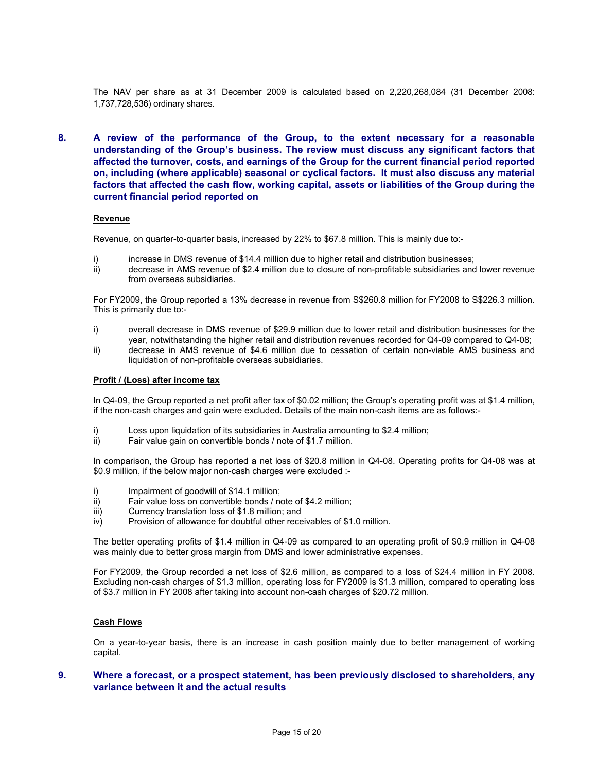The NAV per share as at 31 December 2009 is calculated based on 2,220,268,084 (31 December 2008: 1,737,728,536) ordinary shares.

**8. A review of the performance of the Group, to the extent necessary for a reasonable understanding of the Group's business. The review must discuss any significant factors that affected the turnover, costs, and earnings of the Group for the current financial period reported on, including (where applicable) seasonal or cyclical factors. It must also discuss any material factors that affected the cash flow, working capital, assets or liabilities of the Group during the current financial period reported on** 

#### **Revenue**

Revenue, on quarter-to-quarter basis, increased by 22% to \$67.8 million. This is mainly due to:-

- i) increase in DMS revenue of \$14.4 million due to higher retail and distribution businesses;
- ii) decrease in AMS revenue of \$2.4 million due to closure of non-profitable subsidiaries and lower revenue from overseas subsidiaries.

For FY2009, the Group reported a 13% decrease in revenue from S\$260.8 million for FY2008 to S\$226.3 million. This is primarily due to:-

- i) overall decrease in DMS revenue of \$29.9 million due to lower retail and distribution businesses for the year, notwithstanding the higher retail and distribution revenues recorded for Q4-09 compared to Q4-08;
- ii) decrease in AMS revenue of \$4.6 million due to cessation of certain non-viable AMS business and liquidation of non-profitable overseas subsidiaries.

#### **Profit / (Loss) after income tax**

In Q4-09, the Group reported a net profit after tax of \$0.02 million; the Group's operating profit was at \$1.4 million, if the non-cash charges and gain were excluded. Details of the main non-cash items are as follows:-

- i) Loss upon liquidation of its subsidiaries in Australia amounting to \$2.4 million;<br>ii) Fair value gain on convertible bonds / note of \$1.7 million.
- Fair value gain on convertible bonds / note of \$1.7 million.

In comparison, the Group has reported a net loss of \$20.8 million in Q4-08. Operating profits for Q4-08 was at \$0.9 million, if the below major non-cash charges were excluded :-

- i) Impairment of goodwill of \$14.1 million;
- ii) Fair value loss on convertible bonds / note of \$4.2 million;
- iii) Currency translation loss of \$1.8 million; and
- iv) Provision of allowance for doubtful other receivables of \$1.0 million.

The better operating profits of \$1.4 million in Q4-09 as compared to an operating profit of \$0.9 million in Q4-08 was mainly due to better gross margin from DMS and lower administrative expenses.

For FY2009, the Group recorded a net loss of \$2.6 million, as compared to a loss of \$24.4 million in FY 2008. Excluding non-cash charges of \$1.3 million, operating loss for FY2009 is \$1.3 million, compared to operating loss of \$3.7 million in FY 2008 after taking into account non-cash charges of \$20.72 million.

### **Cash Flows**

On a year-to-year basis, there is an increase in cash position mainly due to better management of working capital.

## **9. Where a forecast, or a prospect statement, has been previously disclosed to shareholders, any variance between it and the actual results**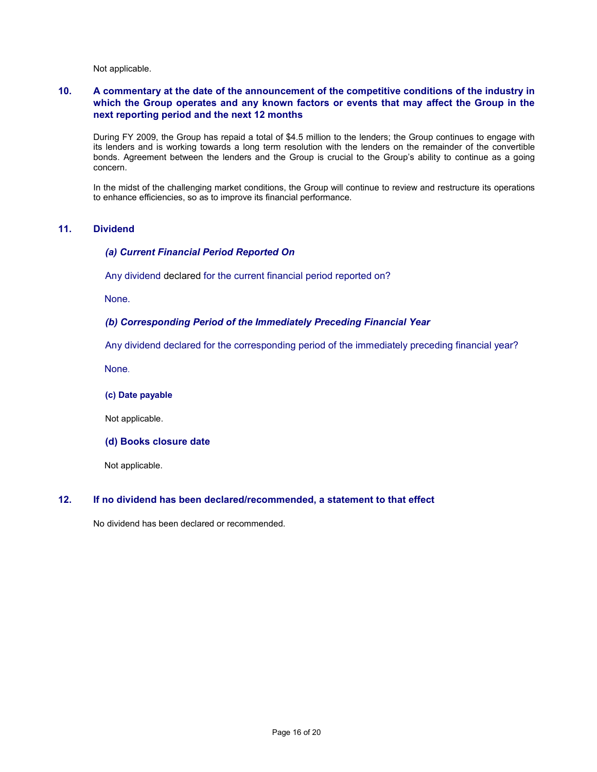Not applicable.

## **10. A commentary at the date of the announcement of the competitive conditions of the industry in which the Group operates and any known factors or events that may affect the Group in the next reporting period and the next 12 months**

During FY 2009, the Group has repaid a total of \$4.5 million to the lenders; the Group continues to engage with its lenders and is working towards a long term resolution with the lenders on the remainder of the convertible bonds. Agreement between the lenders and the Group is crucial to the Group's ability to continue as a going concern.

In the midst of the challenging market conditions, the Group will continue to review and restructure its operations to enhance efficiencies, so as to improve its financial performance.

### **11. Dividend**

### *(a) Current Financial Period Reported On*

Any dividend declared for the current financial period reported on?

None.

## *(b) Corresponding Period of the Immediately Preceding Financial Year*

Any dividend declared for the corresponding period of the immediately preceding financial year?

None.

#### **(c) Date payable**

Not applicable.

**(d) Books closure date** 

Not applicable.

#### **12. If no dividend has been declared/recommended, a statement to that effect**

No dividend has been declared or recommended.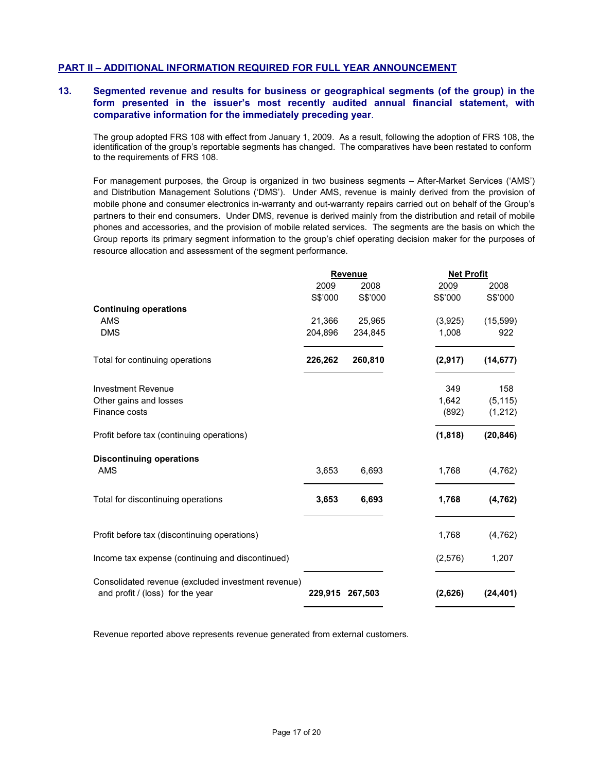## **PART II – ADDITIONAL INFORMATION REQUIRED FOR FULL YEAR ANNOUNCEMENT**

## **13. Segmented revenue and results for business or geographical segments (of the group) in the form presented in the issuer's most recently audited annual financial statement, with comparative information for the immediately preceding year**.

The group adopted FRS 108 with effect from January 1, 2009. As a result, following the adoption of FRS 108, the identification of the group's reportable segments has changed. The comparatives have been restated to conform to the requirements of FRS 108.

For management purposes, the Group is organized in two business segments – After-Market Services ('AMS') and Distribution Management Solutions ('DMS'). Under AMS, revenue is mainly derived from the provision of mobile phone and consumer electronics in-warranty and out-warranty repairs carried out on behalf of the Group's partners to their end consumers. Under DMS, revenue is derived mainly from the distribution and retail of mobile phones and accessories, and the provision of mobile related services. The segments are the basis on which the Group reports its primary segment information to the group's chief operating decision maker for the purposes of resource allocation and assessment of the segment performance.

|                                                                                        | <b>Revenue</b> |                 | <b>Net Profit</b> |           |
|----------------------------------------------------------------------------------------|----------------|-----------------|-------------------|-----------|
|                                                                                        | 2009           | 2008            | 2009              | 2008      |
|                                                                                        | S\$'000        | S\$'000         | S\$'000           | S\$'000   |
| <b>Continuing operations</b>                                                           |                |                 |                   |           |
| <b>AMS</b>                                                                             | 21,366         | 25,965          | (3,925)           | (15, 599) |
| <b>DMS</b>                                                                             | 204,896        | 234,845         | 1,008             | 922       |
| Total for continuing operations                                                        | 226,262        | 260,810         | (2,917)           | (14, 677) |
| <b>Investment Revenue</b>                                                              |                |                 | 349               | 158       |
| Other gains and losses                                                                 |                |                 | 1.642             | (5, 115)  |
| Finance costs                                                                          |                |                 | (892)             | (1,212)   |
| Profit before tax (continuing operations)                                              |                |                 | (1, 818)          | (20, 846) |
| <b>Discontinuing operations</b>                                                        |                |                 |                   |           |
| <b>AMS</b>                                                                             | 3,653          | 6,693           | 1,768             | (4, 762)  |
| Total for discontinuing operations                                                     | 3,653          | 6,693           | 1,768             | (4, 762)  |
| Profit before tax (discontinuing operations)                                           |                |                 | 1,768             | (4, 762)  |
| Income tax expense (continuing and discontinued)                                       |                |                 | (2,576)           | 1,207     |
| Consolidated revenue (excluded investment revenue)<br>and profit / (loss) for the year |                | 229,915 267,503 | (2,626)           | (24, 401) |

Revenue reported above represents revenue generated from external customers.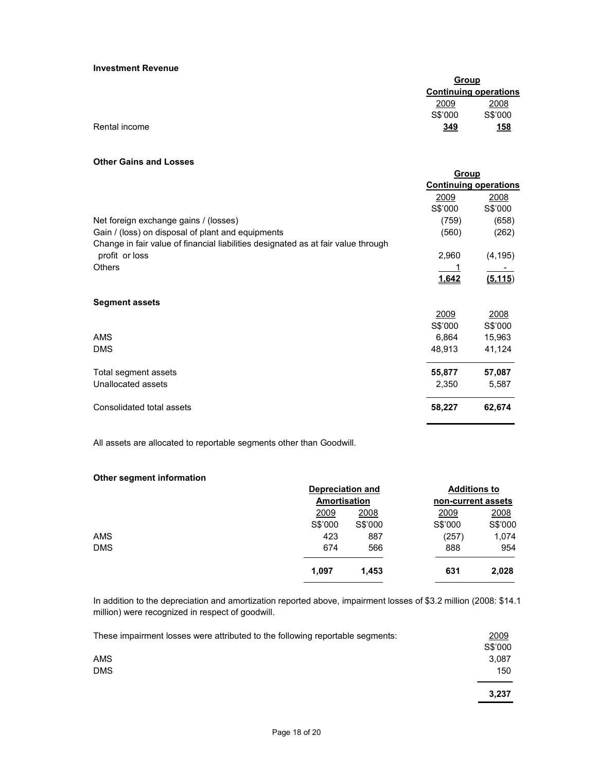#### **Investment Revenue**

|               |         | Group                        |  |
|---------------|---------|------------------------------|--|
|               |         | <b>Continuing operations</b> |  |
|               | 2009    | 2008                         |  |
|               | S\$'000 | S\$'000                      |  |
| Rental income | 349     | <u>158</u>                   |  |

#### **Other Gains and Losses**

| Group   |                                                 |
|---------|-------------------------------------------------|
|         |                                                 |
| 2009    | 2008                                            |
| S\$'000 | S\$'000                                         |
| (759)   | (658)                                           |
| (560)   | (262)                                           |
|         |                                                 |
| 2,960   | (4, 195)                                        |
|         |                                                 |
| 1,642   | (5.115)                                         |
|         |                                                 |
|         |                                                 |
| 2009    | 2008                                            |
| S\$'000 | S\$'000                                         |
| 6,864   | 15,963                                          |
| 48,913  | 41,124                                          |
|         |                                                 |
|         | 57,087                                          |
|         | 5,587                                           |
| 58,227  | 62,674                                          |
|         | <b>Continuing operations</b><br>55,877<br>2,350 |

All assets are allocated to reportable segments other than Goodwill.

## **Other segment information**

|            |         | <b>Depreciation and</b><br>Amortisation |             | <b>Additions to</b><br>non-current assets |  |
|------------|---------|-----------------------------------------|-------------|-------------------------------------------|--|
|            |         |                                         |             |                                           |  |
|            | 2009    | 2008                                    | <u>2009</u> | 2008                                      |  |
|            | S\$'000 | S\$'000                                 | S\$'000     | S\$'000                                   |  |
| <b>AMS</b> | 423     | 887                                     | (257)       | 1,074                                     |  |
| <b>DMS</b> | 674     | 566                                     | 888         | 954                                       |  |
|            | 1,097   | 1.453                                   | 631         | 2,028                                     |  |
|            |         |                                         |             |                                           |  |

In addition to the depreciation and amortization reported above, impairment losses of \$3.2 million (2008: \$14.1 million) were recognized in respect of goodwill.

| These impairment losses were attributed to the following reportable segments: | 2009    |
|-------------------------------------------------------------------------------|---------|
|                                                                               | S\$'000 |
| <b>AMS</b>                                                                    | 3,087   |
| <b>DMS</b>                                                                    | 150     |
|                                                                               | 3,237   |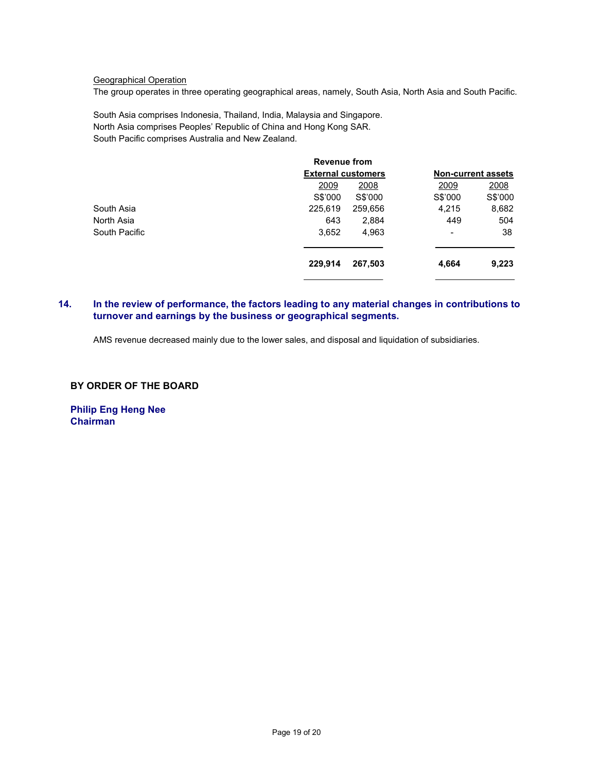## Geographical Operation

The group operates in three operating geographical areas, namely, South Asia, North Asia and South Pacific.

South Asia comprises Indonesia, Thailand, India, Malaysia and Singapore. North Asia comprises Peoples' Republic of China and Hong Kong SAR. South Pacific comprises Australia and New Zealand.

|               | <b>Revenue from</b>       |         |                              |         |
|---------------|---------------------------|---------|------------------------------|---------|
|               | <b>External customers</b> |         | <b>Non-current assets</b>    |         |
|               | 2009                      | 2008    | 2009                         | 2008    |
|               | S\$'000                   | S\$'000 | S\$'000                      | S\$'000 |
| South Asia    | 225,619                   | 259,656 | 4,215                        | 8,682   |
| North Asia    | 643                       | 2,884   | 449                          | 504     |
| South Pacific | 3,652                     | 4,963   | $\qquad \qquad \blacksquare$ | 38      |
|               | 229,914                   | 267,503 | 4,664                        | 9,223   |
|               |                           |         |                              |         |

## **14. In the review of performance, the factors leading to any material changes in contributions to turnover and earnings by the business or geographical segments.**

AMS revenue decreased mainly due to the lower sales, and disposal and liquidation of subsidiaries.

## **BY ORDER OF THE BOARD**

**Philip Eng Heng Nee Chairman**